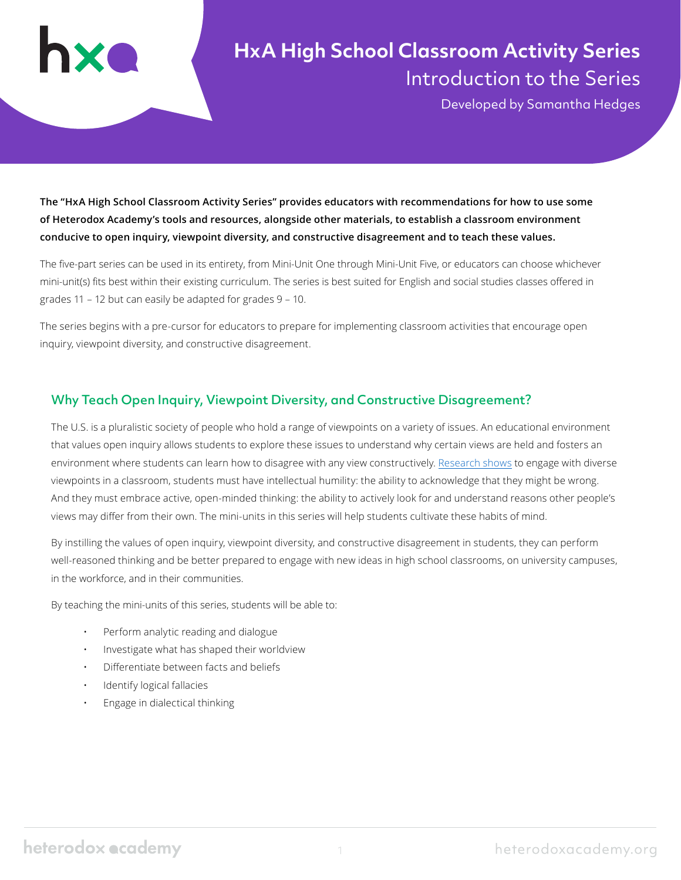# **HxA High School Classroom Activity Series** Introduction to the Series

Developed by Samantha Hedges

**The "HxA High School Classroom Activity Series" provides educators with recommendations for how to use some of Heterodox Academy's tools and resources, alongside other materials, to establish a classroom environment conducive to open inquiry, viewpoint diversity, and constructive disagreement and to teach these values.** 

The five-part series can be used in its entirety, from Mini-Unit One through Mini-Unit Five, or educators can choose whichever mini-unit(s) fits best within their existing curriculum. The series is best suited for English and social studies classes offered in grades 11 – 12 but can easily be adapted for grades 9 – 10.

The series begins with a pre-cursor for educators to prepare for implementing classroom activities that encourage open inquiry, viewpoint diversity, and constructive disagreement.

## Why Teach Open Inquiry, Viewpoint Diversity, and Constructive Disagreement?

The U.S. is a pluralistic society of people who hold a range of viewpoints on a variety of issues. An educational environment that values open inquiry allows students to explore these issues to understand why certain views are held and fosters an environment where students can learn how to disagree with any view constructively. [Research shows](https://www.researchgate.net/publication/322789594_Turning_Division_into_Discourse_Educating_Adolescents_About_Viewpoint_Diversity) to engage with diverse viewpoints in a classroom, students must have intellectual humility: the ability to acknowledge that they might be wrong. And they must embrace active, open-minded thinking: the ability to actively look for and understand reasons other people's views may differ from their own. The mini-units in this series will help students cultivate these habits of mind.

By instilling the values of open inquiry, viewpoint diversity, and constructive disagreement in students, they can perform well-reasoned thinking and be better prepared to engage with new ideas in high school classrooms, on university campuses, in the workforce, and in their communities.

By teaching the mini-units of this series, students will be able to:

- Perform analytic reading and dialogue
- Investigate what has shaped their worldview
- Differentiate between facts and beliefs
- Identify logical fallacies
- Engage in dialectical thinking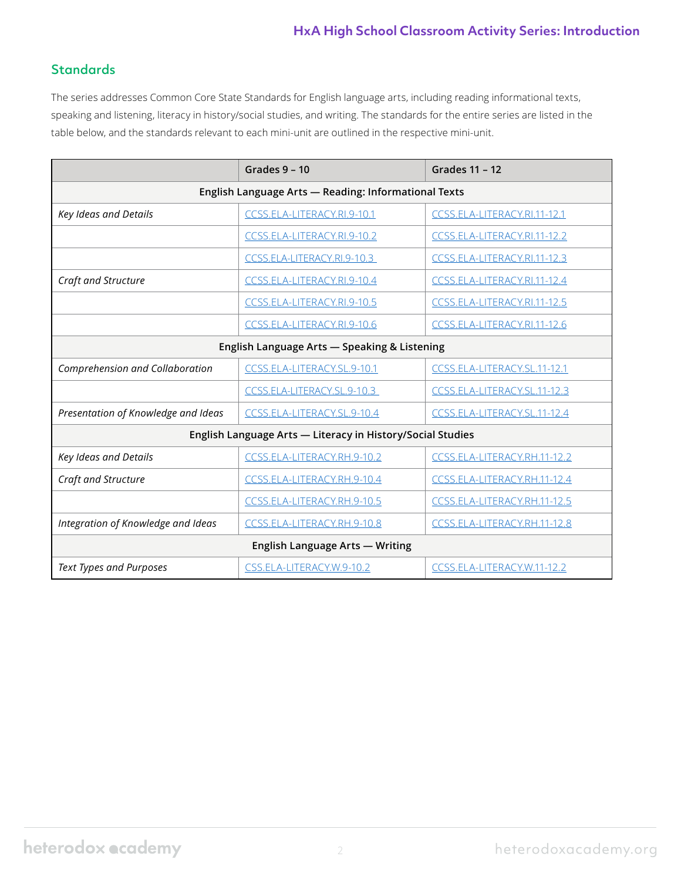## **Standards**

The series addresses Common Core State Standards for English language arts, including reading informational texts, speaking and listening, literacy in history/social studies, and writing. The standards for the entire series are listed in the table below, and the standards relevant to each mini-unit are outlined in the respective mini-unit.

|                                                            | Grades 9 - 10               | <b>Grades 11 - 12</b>        |  |  |  |
|------------------------------------------------------------|-----------------------------|------------------------------|--|--|--|
| English Language Arts - Reading: Informational Texts       |                             |                              |  |  |  |
| Key Ideas and Details                                      | CCSS.ELA-LITERACY.RI.9-10.1 | CCSS.ELA-LITERACY.RI.11-12.1 |  |  |  |
|                                                            | CCSS.ELA-LITERACY.RI.9-10.2 | CCSS.ELA-LITERACY.RI.11-12.2 |  |  |  |
|                                                            | CCSS.ELA-LITERACY.RI.9-10.3 | CCSS.ELA-LITERACY.RI.11-12.3 |  |  |  |
| Craft and Structure                                        | CCSS.ELA-LITERACY.RI.9-10.4 | CCSS.ELA-LITERACY.RI.11-12.4 |  |  |  |
|                                                            | CCSS.ELA-LITERACY.RI.9-10.5 | CCSS.ELA-LITERACY.RI.11-12.5 |  |  |  |
|                                                            | CCSS.ELA-LITERACY.RI.9-10.6 | CCSS.ELA-LITERACY.RI.11-12.6 |  |  |  |
| English Language Arts - Speaking & Listening               |                             |                              |  |  |  |
| Comprehension and Collaboration                            | CCSS.ELA-LITERACY.SL.9-10.1 | CCSS.ELA-LITERACY.SL.11-12.1 |  |  |  |
|                                                            | CCSS.ELA-LITERACY.SL.9-10.3 | CCSS.ELA-LITERACY.SL.11-12.3 |  |  |  |
| Presentation of Knowledge and Ideas                        | CCSS.ELA-LITERACY.SL.9-10.4 | CCSS.ELA-LITERACY.SL.11-12.4 |  |  |  |
| English Language Arts - Literacy in History/Social Studies |                             |                              |  |  |  |
| Key Ideas and Details                                      | CCSS.ELA-LITERACY.RH.9-10.2 | CCSS.ELA-LITERACY.RH.11-12.2 |  |  |  |
| Craft and Structure                                        | CCSS.ELA-LITERACY.RH.9-10.4 | CCSS.ELA-LITERACY.RH.11-12.4 |  |  |  |
|                                                            | CCSS.ELA-LITERACY.RH.9-10.5 | CCSS.ELA-LITERACY.RH.11-12.5 |  |  |  |
| Integration of Knowledge and Ideas                         | CCSS.ELA-LITERACY.RH.9-10.8 | CCSS.ELA-LITERACY.RH.11-12.8 |  |  |  |
| <b>English Language Arts - Writing</b>                     |                             |                              |  |  |  |
| <b>Text Types and Purposes</b>                             | CSS.ELA-LITERACY.W.9-10.2   | CCSS.ELA-LITERACY.W.11-12.2  |  |  |  |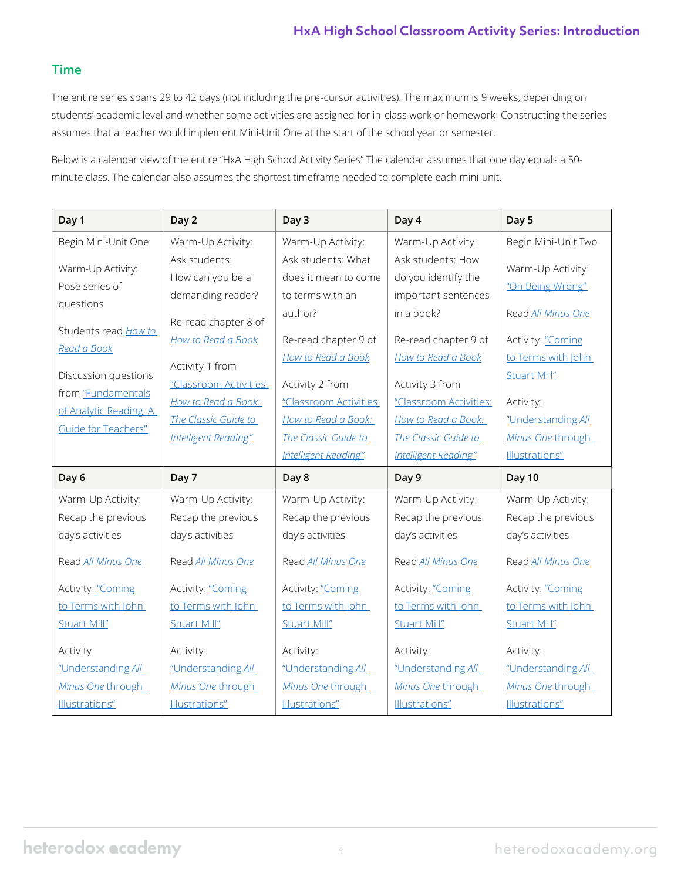## Time

The entire series spans 29 to 42 days (not including the pre-cursor activities). The maximum is 9 weeks, depending on students' academic level and whether some activities are assigned for in-class work or homework. Constructing the series assumes that a teacher would implement Mini-Unit One at the start of the school year or semester.

Below is a calendar view of the entire "HxA High School Activity Series" The calendar assumes that one day equals a 50 minute class. The calendar also assumes the shortest timeframe needed to complete each mini-unit.

| Day 1                                                                         | Day 2                                                                                   | Day 3                                                                                                | Day 4                                                                                                | Day 5                                                                         |
|-------------------------------------------------------------------------------|-----------------------------------------------------------------------------------------|------------------------------------------------------------------------------------------------------|------------------------------------------------------------------------------------------------------|-------------------------------------------------------------------------------|
| Begin Mini-Unit One                                                           | Warm-Up Activity:                                                                       | Warm-Up Activity:                                                                                    | Warm-Up Activity:                                                                                    | Begin Mini-Unit Two                                                           |
| Warm-Up Activity:<br>Pose series of<br>questions                              | Ask students:<br>How can you be a<br>demanding reader?                                  | Ask students: What<br>does it mean to come<br>to terms with an<br>author?                            | Ask students: How<br>do you identify the<br>important sentences<br>in a book?                        | Warm-Up Activity:<br>"On Being Wrong"<br>Read All Minus One                   |
| Students read How to<br>Read a Book<br>Discussion questions                   | Re-read chapter 8 of<br>How to Read a Book<br>Activity 1 from<br>"Classroom Activities: | Re-read chapter 9 of<br>How to Read a Book<br>Activity 2 from                                        | Re-read chapter 9 of<br>How to Read a Book<br>Activity 3 from                                        | Activity: "Coming<br>to Terms with John<br>Stuart Mill"                       |
| from "Fundamentals<br>of Analytic Reading: A<br><b>Guide for Teachers"</b>    | How to Read a Book:<br>The Classic Guide to<br>Intelligent Reading"                     | "Classroom Activities:<br>How to Read a Book:<br>The Classic Guide to<br><b>Intelligent Reading"</b> | "Classroom Activities:<br>How to Read a Book:<br>The Classic Guide to<br><b>Intelligent Reading"</b> | Activity:<br>"Understanding All<br>Minus One through<br>Illustrations"        |
| Day 6                                                                         | Day 7                                                                                   | Day 8                                                                                                | Day 9                                                                                                | Day 10                                                                        |
| Warm-Up Activity:<br>Recap the previous<br>day's activities                   | Warm-Up Activity:<br>Recap the previous<br>day's activities                             | Warm-Up Activity:<br>Recap the previous<br>day's activities                                          | Warm-Up Activity:<br>Recap the previous<br>day's activities                                          | Warm-Up Activity:<br>Recap the previous<br>day's activities                   |
| Read All Minus One<br>Activity: "Coming<br>to Terms with John<br>Stuart Mill" | Read All Minus One<br>Activity: "Coming<br>to Terms with John<br>Stuart Mill"           | Read All Minus One<br>Activity: "Coming<br>to Terms with John<br>Stuart Mill"                        | Read All Minus One<br>Activity: "Coming<br>to Terms with John<br>Stuart Mill"                        | Read All Minus One<br>Activity: "Coming<br>to Terms with John<br>Stuart Mill" |
| Activity:<br>"Understanding All<br>Minus One through<br>Illustrations"        | Activity:<br>"Understanding All<br>Minus One through<br>Illustrations"                  | Activity:<br>"Understanding All<br>Minus One through<br>Illustrations"                               | Activity:<br>"Understanding All<br>Minus One through<br>Illustrations"                               | Activity:<br>"Understanding All<br>Minus One through<br>Illustrations"        |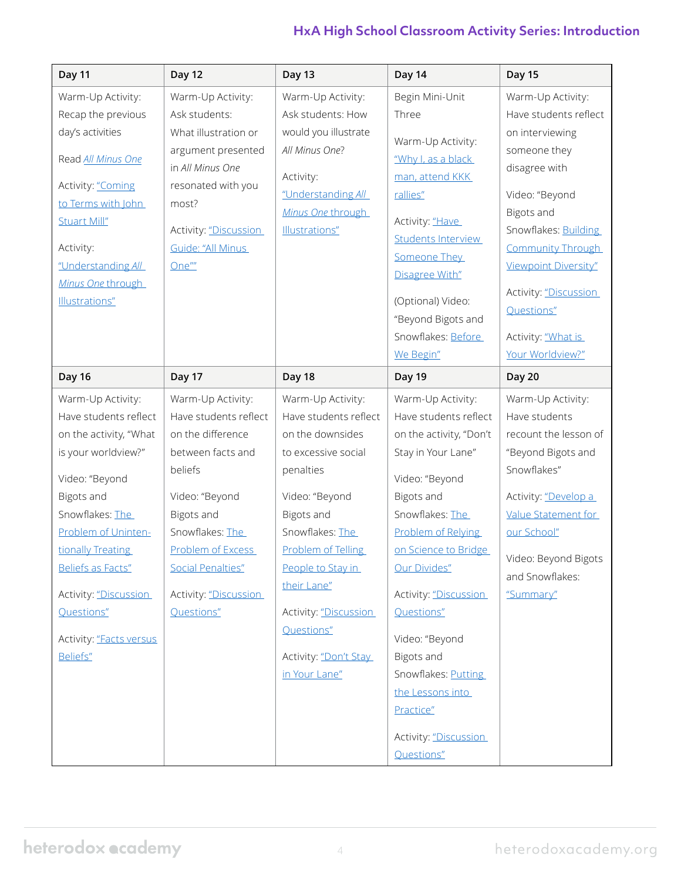| Day 11                                                                                                                                                                                                                                                                                        | <b>Day 12</b>                                                                                                                                                                                                                              | <b>Day 13</b>                                                                                                                                                                                                                                                                                           | Day 14                                                                                                                                                                                                                                                                                                                                                                             | <b>Day 15</b>                                                                                                                                                                                                                                                                                      |
|-----------------------------------------------------------------------------------------------------------------------------------------------------------------------------------------------------------------------------------------------------------------------------------------------|--------------------------------------------------------------------------------------------------------------------------------------------------------------------------------------------------------------------------------------------|---------------------------------------------------------------------------------------------------------------------------------------------------------------------------------------------------------------------------------------------------------------------------------------------------------|------------------------------------------------------------------------------------------------------------------------------------------------------------------------------------------------------------------------------------------------------------------------------------------------------------------------------------------------------------------------------------|----------------------------------------------------------------------------------------------------------------------------------------------------------------------------------------------------------------------------------------------------------------------------------------------------|
| Warm-Up Activity:<br>Recap the previous<br>day's activities<br>Read All Minus One<br>Activity: "Coming<br>to Terms with John<br>Stuart Mill"<br>Activity:<br>"Understanding All<br>Minus One through<br>Illustrations"                                                                        | Warm-Up Activity:<br>Ask students:<br>What illustration or<br>argument presented<br>in All Minus One<br>resonated with you<br>most?<br>Activity: "Discussion<br>Guide: "All Minus<br>One""                                                 | Warm-Up Activity:<br>Ask students: How<br>would you illustrate<br>All Minus One?<br>Activity:<br>"Understanding All<br>Minus One through<br>Illustrations"                                                                                                                                              | Begin Mini-Unit<br>Three<br>Warm-Up Activity:<br>"Why I, as a black<br>man, attend KKK<br>rallies"<br>Activity: "Have<br><b>Students Interview</b><br>Someone They<br>Disagree With"<br>(Optional) Video:<br>"Beyond Bigots and<br>Snowflakes: Before<br>We Begin"                                                                                                                 | Warm-Up Activity:<br>Have students reflect<br>on interviewing<br>someone they<br>disagree with<br>Video: "Beyond<br>Bigots and<br>Snowflakes: <b>Building</b><br><b>Community Through</b><br>Viewpoint Diversity"<br>Activity: "Discussion<br>Questions"<br>Activity: "What is<br>Your Worldview?" |
| <b>Day 16</b>                                                                                                                                                                                                                                                                                 | Day 17                                                                                                                                                                                                                                     | Day 18                                                                                                                                                                                                                                                                                                  | Day 19                                                                                                                                                                                                                                                                                                                                                                             | <b>Day 20</b>                                                                                                                                                                                                                                                                                      |
| Warm-Up Activity:<br>Have students reflect<br>on the activity, "What<br>is your worldview?"<br>Video: "Beyond<br>Bigots and<br>Snowflakes: The<br>Problem of Uninten-<br>tionally Treating<br>Beliefs as Facts"<br>Activity: "Discussion<br>Questions"<br>Activity: "Facts versus<br>Beliefs" | Warm-Up Activity:<br>Have students reflect<br>on the difference<br>between facts and<br>beliefs<br>Video: "Beyond<br>Bigots and<br>Snowflakes: The<br>Problem of Excess<br><b>Social Penalties"</b><br>Activity: "Discussion<br>Questions" | Warm-Up Activity:<br>Have students reflect<br>on the downsides<br>to excessive social<br>penalties<br>Video: "Beyond<br><b>Bigots and</b><br>Snowflakes: The<br>Problem of Telling<br>People to Stay in<br>their Lane"<br>Activity: "Discussion<br>Questions"<br>Activity: "Don't Stay<br>in Your Lane" | Warm-Up Activity:<br>Have students reflect<br>on the activity, "Don't<br>Stay in Your Lane"<br>Video: "Beyond<br>Bigots and<br>Snowflakes: The<br>Problem of Relying<br>on Science to Bridge<br>Our Divides"<br>Activity: "Discussion<br>Questions"<br>Video: "Beyond<br>Bigots and<br>Snowflakes: Putting<br>the Lessons into<br>Practice"<br>Activity: "Discussion<br>Questions" | Warm-Up Activity:<br>Have students<br>recount the lesson of<br>"Beyond Bigots and<br>Snowflakes"<br>Activity: "Develop a<br>Value Statement for<br>our School"<br>Video: Beyond Bigots<br>and Snowflakes:<br>"Summary"                                                                             |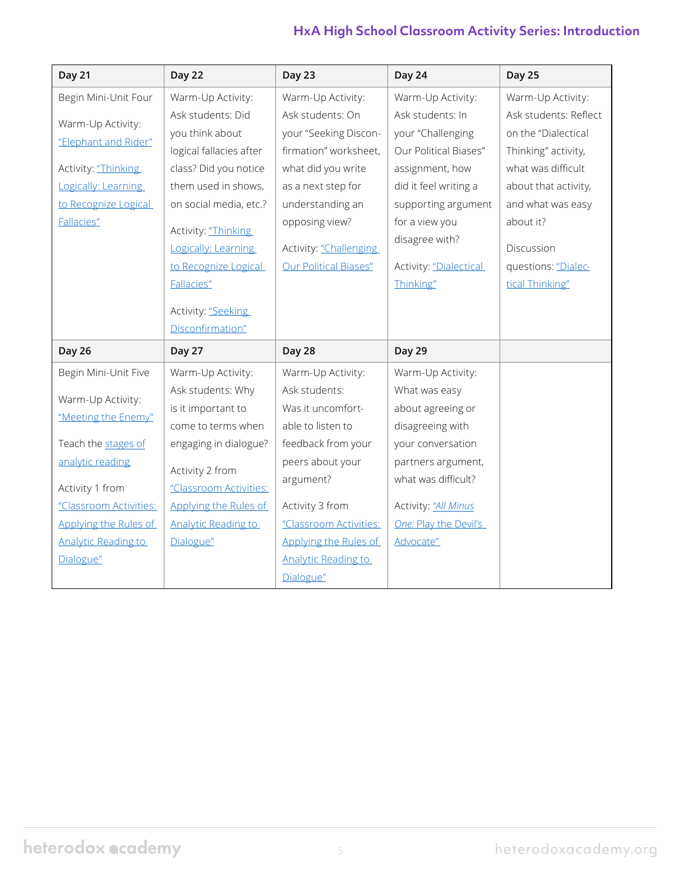| <b>Day 21</b>              | Day 22                                    | Day 23                     | Day 24                 | <b>Day 25</b>         |
|----------------------------|-------------------------------------------|----------------------------|------------------------|-----------------------|
| Begin Mini-Unit Four       | Warm-Up Activity:                         | Warm-Up Activity:          | Warm-Up Activity:      | Warm-Up Activity:     |
|                            | Ask students: Did                         | Ask students: On           | Ask students: In       | Ask students: Reflect |
| Warm-Up Activity:          | you think about                           | your "Seeking Discon-      | your "Challenging      | on the "Dialectical   |
| "Elephant and Rider"       | logical fallacies after                   | firmation" worksheet,      | Our Political Biases"  | Thinking" activity,   |
| Activity: "Thinking        | class? Did you notice                     | what did you write         | assignment, how        | what was difficult    |
| Logically: Learning        | them used in shows,                       | as a next step for         | did it feel writing a  | about that activity,  |
| to Recognize Logical       | on social media, etc.?                    | understanding an           | supporting argument    | and what was easy     |
| Fallacies"                 | Activity: "Thinking                       | opposing view?             | for a view you         | about it?             |
|                            | Logically: Learning                       | Activity: "Challenging     | disagree with?         | Discussion            |
|                            | to Recognize Logical                      | Our Political Biases"      | Activity: "Dialectical | questions: "Dialec-   |
|                            | Fallacies"                                |                            | Thinking"              | tical Thinking"       |
|                            |                                           |                            |                        |                       |
|                            | Activity: "Seeking<br>Disconfirmation"    |                            |                        |                       |
|                            |                                           |                            |                        |                       |
|                            |                                           |                            |                        |                       |
| <b>Day 26</b>              | <b>Day 27</b>                             | Day 28                     | <b>Day 29</b>          |                       |
| Begin Mini-Unit Five       | Warm-Up Activity:                         | Warm-Up Activity:          | Warm-Up Activity:      |                       |
|                            | Ask students: Why                         | Ask students:              | What was easy          |                       |
| Warm-Up Activity:          | is it important to                        | Was it uncomfort-          | about agreeing or      |                       |
| "Meeting the Enemy"        | come to terms when                        | able to listen to          | disagreeing with       |                       |
| Teach the stages of        | engaging in dialogue?                     | feedback from your         | your conversation      |                       |
| analytic reading           |                                           | peers about your           | partners argument,     |                       |
| Activity 1 from            | Activity 2 from<br>"Classroom Activities: | argument?                  | what was difficult?    |                       |
| "Classroom Activities:     | Applying the Rules of                     | Activity 3 from            | Activity: "All Minus   |                       |
| Applying the Rules of      | <b>Analytic Reading to</b>                | "Classroom Activities:     | One: Play the Devil's  |                       |
| <b>Analytic Reading to</b> | Dialogue"                                 | Applying the Rules of      | Advocate"              |                       |
| Dialogue"                  |                                           | <b>Analytic Reading to</b> |                        |                       |